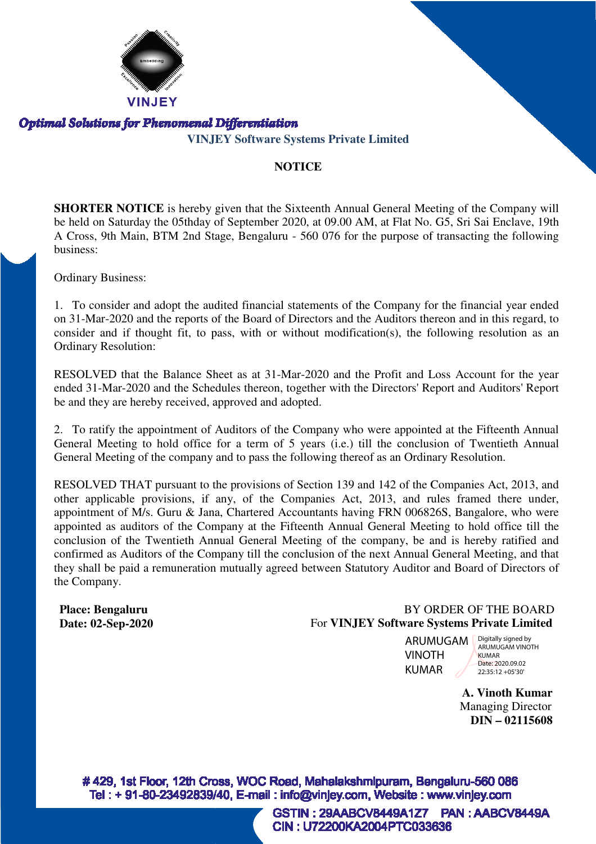

**VINJEY Software Systems Private Limited**

#### **NOTICE**

**SHORTER NOTICE** is hereby given that the Sixteenth Annual General Meeting of the Company will be held on Saturday the 05thday of September 2020, at 09.00 AM, at Flat No. G5, Sri Sai Enclave, 19th A Cross, 9th Main, BTM 2nd Stage, Bengaluru - 560 076 for the purpose of transacting the following business:

Ordinary Business:

1. To consider and adopt the audited financial statements of the Company for the financial year ended on 31-Mar-2020 and the reports of the Board of Directors and the Auditors thereon and in this regard, to consider and if thought fit, to pass, with or without modification(s), the following resolution as an Ordinary Resolution: 2020 and the reports of the Board of Directors and the Auditors thereon and in this regard, to id if thought fit, to pass, with or without modification(s), the following resolution as an esolution:<br>D that the Balance Sheet

RESOLVED that the Balance Sheet as at 31-Mar-2020 and the Profit and Loss Account for the year ended 31-Mar-2020 and the Schedules thereon, together with the Directors' Report and Auditors' Report 2020 be and they are hereby received, approved and adopted.

2. To ratify the appointment of Auditors of the Company who were appointed at the Fifteenth Annual General Meeting to hold office for a term of 5 years (i.e.) till the conclusion of Twentieth Annual General Meeting of the company and to pass the following thereof as an Ordinary Resolution. 2020 and the Profit and Loss Account for<br>ther with the Directors' Report and Audite<br>ted.<br>mpany who were appointed at the Fifteen<br>rears (i.e.) till the conclusion of Twentie<br>lowing thereof as an Ordinary Resolution.

RESOLVED THAT pursuant to the provisions of Section 139 and 142 of the Companies Act, 2013, and other applicable provisions, if any, of the Companies Act, 2013, and rules framed there under, appointment of M/s. Guru & Jana, Chartered Accountants having FRN 006826S, Bangalore, who were appointed as auditors of the Company at the Fifteenth Annual General Meeting to hold office till the conclusion of the Twentieth Annual General Meeting of the company, be and is hereby ratified and confirmed as Auditors of the Company till the conclusion of the next Annual General Meeting, and that they shall be paid a remuneration mutually agreed between Statutory Auditor and Board of Directors of the Company.

#### **Place: Bengaluru Date: 02-Sep-2020**

### BY ORDER OF THE BOARD For **VINJEY Software Systems Private Limited**

ARUMUGAM VINOTH KUMAR

Digitally signed by ARUMUGAM VINOTH KUMAR Date: 2020.09.02 22:35:12 +05'30'

**A. Vinoth Kumar** Managing Director **DIN – 02115608**

#429, 1st Floor, 12th Cross, WOC Road, Mahalakshmipuram, Bengaluru-560 086 Tel: +91-80-23492839/40, E-mail: info@vinjey.com, Website: www.vinjey.com

> GSTIN: 29AABCV8449A1Z7 **PAN: AABCV8449A** CIN: U72200KA2004PTC033636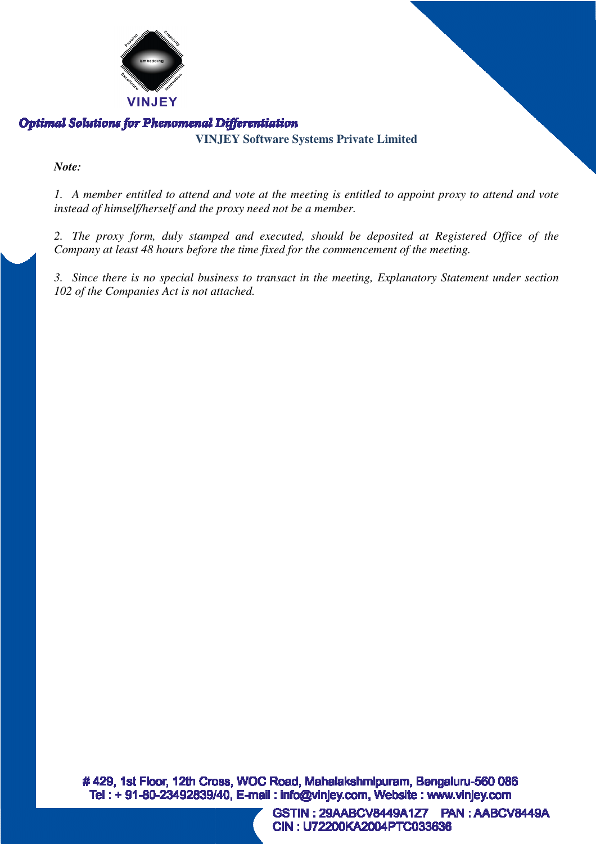

**VINJEY Software Systems Private Limited**

#### *Note:*

1. A member entitled to attend and vote at the meeting is entitled to appoint proxy to attend and vote *instead of himself/herself and the proxy need not be a member.*

*2. The proxy form, duly stamped and executed, should be deposited at Registered Office of the Company at least 48 hours before the time fixed for the commencement of the meeting.*

*3. Since there is no special business to transact in the meeting, Explanatory Statement under section 102 of the Companies Act is not attached.*

#429, 1st Floor, 12th Cross, WOC Road, Mahalakshmipuram, Bengaluru-560 086 Tel: +91-80-23492839/40, E-mail: info@vinjey.com, Website: www.vinjey.com

> **PAN: AABCV8449A** GSTIN: 29AABCV8449A1Z7 CIN: U72200KA2004PTC033636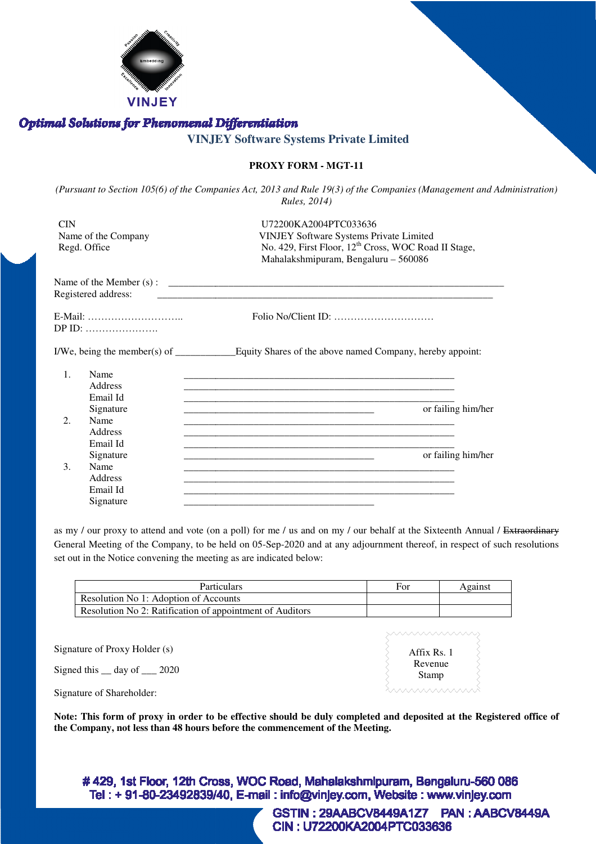

#### **VINJEY Software Systems Private Limited**

#### **PROXY FORM - MGT-11**

(Pursuant to Section 105(6) of the Companies Act, 2013 and Rule 19(3) of the Companies (Management and Administration) *Rules, 2014)* 

| CIN<br>Name of the Company<br>Regd. Office |                                                  | U72200KA2004PTC033636<br><b>VINJEY Software Systems Private Limited</b><br>No. 429, First Floor, 12 <sup>th</sup> Cross, WOC Road II Stage,<br>Mahalakshmipuram, Bengaluru - 560086 |  |
|--------------------------------------------|--------------------------------------------------|-------------------------------------------------------------------------------------------------------------------------------------------------------------------------------------|--|
|                                            | Registered address:                              |                                                                                                                                                                                     |  |
| E-Mail:<br>$DP$ ID:                        |                                                  |                                                                                                                                                                                     |  |
|                                            |                                                  |                                                                                                                                                                                     |  |
| $\mathbf{1}$ .<br>2.                       | Name<br>Address<br>Email Id<br>Signature<br>Name | or failing him/her                                                                                                                                                                  |  |
|                                            | Address<br>Email Id<br>Signature                 | or failing him/her                                                                                                                                                                  |  |
| $\mathcal{E}$                              | Name<br>Address<br>Email Id<br>Signature         |                                                                                                                                                                                     |  |

as my / our proxy to attend and vote (on a poll) for me / us and on my / our behalf at the Sixteenth Annual / Extraordinary General Meeting of the Company, to be held on 05-Sep-2020 and at any adjournment thereof, in respect of such resolutions set out in the Notice convening the meeting as are indicated below:<br>
Particulars For Against set out in the Notice convening the meeting as are indicated below:

| <b>Particulars</b>                                       | Foi | Against |
|----------------------------------------------------------|-----|---------|
| Resolution No 1: Adoption of Accounts                    |     |         |
| Resolution No 2: Ratification of appointment of Auditors |     |         |

|                                      | www.www.www                     |  |
|--------------------------------------|---------------------------------|--|
| Signature of Proxy Holder (s)        | Affix Rs. 1<br>Revenue<br>Stamp |  |
| Signed this $\_\$ day of $\_\_$ 2020 |                                 |  |
| Signature of Shareholder:            |                                 |  |

**Note: This form of proxy in order to be effective should be duly completed and deposited at the Registered office of the Company, not less than 48 hours before the commencement of the Meeting.**

#429, 1st Floor, 12th Cross, WOC Road, Mahalakshmipuram, Bengaluru-560 086 Tel: +91-80-23492839/40, E-mail: info@vinjey.com, Website: www.vinjey.com

> GSTIN: 29AABCV8449A1Z7 PAN: AABCV8449A CIN: U72200KA2004PTC033636